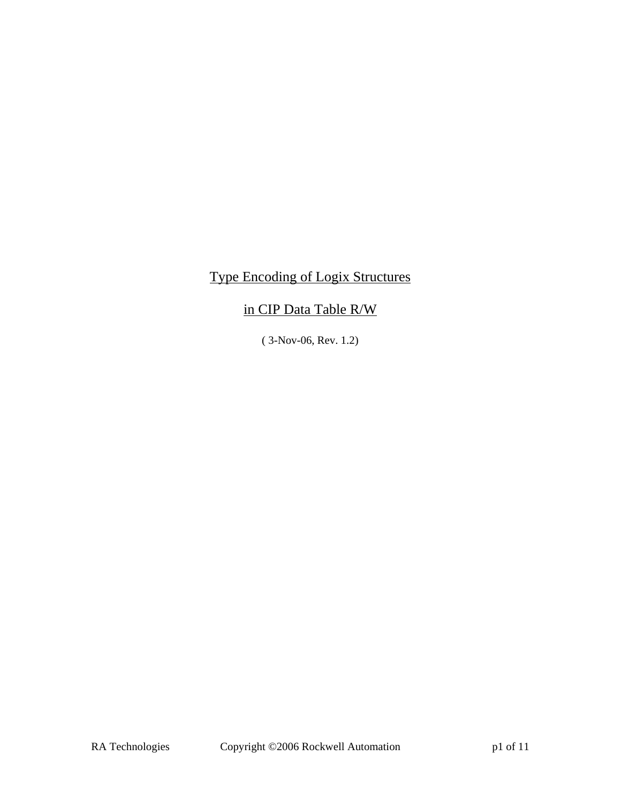# Type Encoding of Logix Structures

# in CIP Data Table R/W

( 3-Nov-06, Rev. 1.2)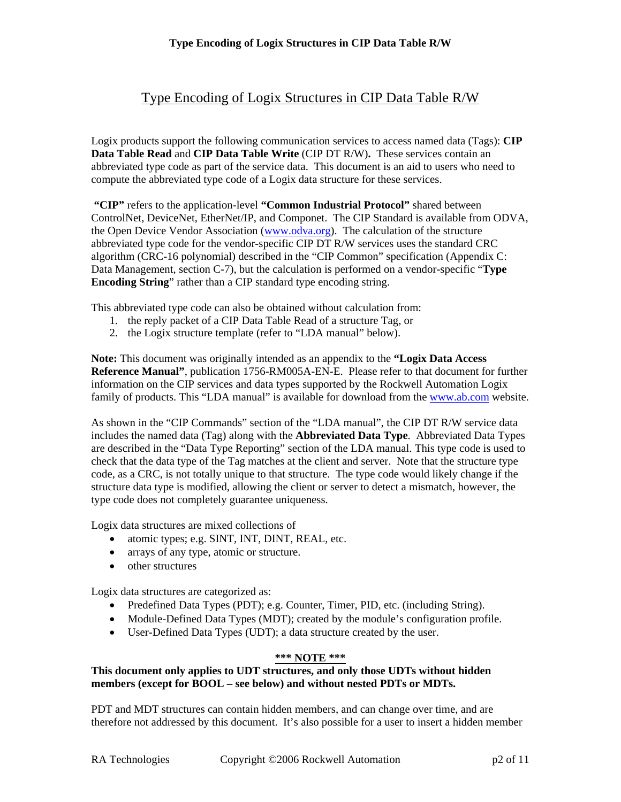Logix products support the following communication services to access named data (Tags): **CIP Data Table Read** and **CIP Data Table Write** (CIP DT R/W)**.** These services contain an abbreviated type code as part of the service data. This document is an aid to users who need to compute the abbreviated type code of a Logix data structure for these services.

**"CIP"** refers to the application-level **"Common Industrial Protocol"** shared between ControlNet, DeviceNet, EtherNet/IP, and Componet. The CIP Standard is available from ODVA, the Open Device Vendor Association ([www.odva.org](http://www.odva.org/)). The calculation of the structure abbreviated type code for the vendor-specific CIP DT R/W services uses the standard CRC algorithm (CRC-16 polynomial) described in the "CIP Common" specification (Appendix C: Data Management, section C-7), but the calculation is performed on a vendor-specific "**Type Encoding String**" rather than a CIP standard type encoding string.

This abbreviated type code can also be obtained without calculation from:

- 1. the reply packet of a CIP Data Table Read of a structure Tag, or
- 2. the Logix structure template (refer to "LDA manual" below).

**Note:** This document was originally intended as an appendix to the **"Logix Data Access Reference Manual"**, publication 1756-RM005A-EN-E. Please refer to that document for further information on the CIP services and data types supported by the Rockwell Automation Logix family of products. This "LDA manual" is available for download from the [www.ab.com](http://www.ab.com/) website.

As shown in the "CIP Commands" section of the "LDA manual", the CIP DT R/W service data includes the named data (Tag) along with the **Abbreviated Data Type**. Abbreviated Data Types are described in the "Data Type Reporting" section of the LDA manual. This type code is used to check that the data type of the Tag matches at the client and server. Note that the structure type code, as a CRC, is not totally unique to that structure. The type code would likely change if the structure data type is modified, allowing the client or server to detect a mismatch, however, the type code does not completely guarantee uniqueness.

Logix data structures are mixed collections of

- atomic types; e.g. SINT, INT, DINT, REAL, etc.
- arrays of any type, atomic or structure.
- other structures

Logix data structures are categorized as:

- Predefined Data Types (PDT); e.g. Counter, Timer, PID, etc. (including String).
- Module-Defined Data Types (MDT); created by the module's configuration profile.
- User-Defined Data Types (UDT); a data structure created by the user.

#### **\*\*\* NOTE \*\*\***

## **This document only applies to UDT structures, and only those UDTs without hidden members (except for BOOL – see below) and without nested PDTs or MDTs.**

PDT and MDT structures can contain hidden members, and can change over time, and are therefore not addressed by this document. It's also possible for a user to insert a hidden member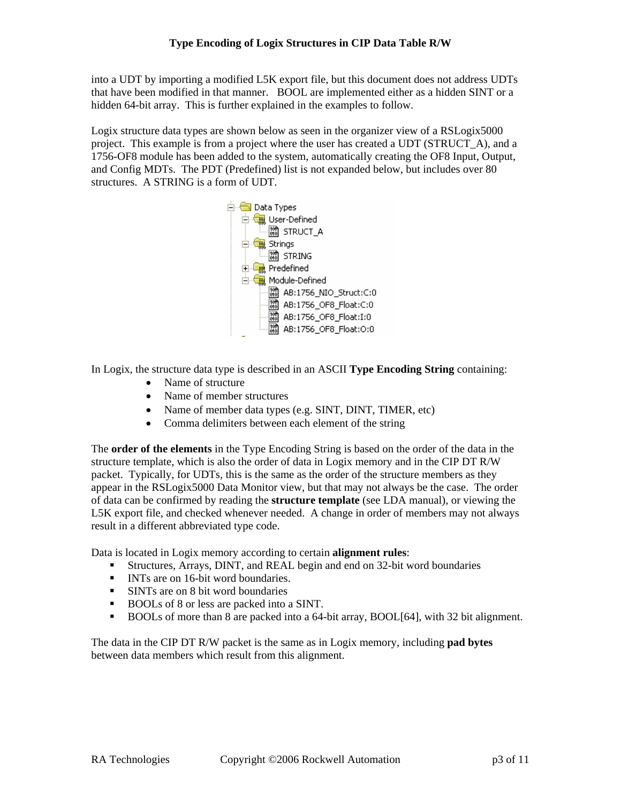into a UDT by importing a modified L5K export file, but this document does not address UDTs that have been modified in that manner. BOOL are implemented either as a hidden SINT or a hidden 64-bit array. This is further explained in the examples to follow.

Logix structure data types are shown below as seen in the organizer view of a RSLogix5000 project. This example is from a project where the user has created a UDT (STRUCT\_A), and a 1756-OF8 module has been added to the system, automatically creating the OF8 Input, Output, and Config MDTs. The PDT (Predefined) list is not expanded below, but includes over 80 structures. A STRING is a form of UDT.



In Logix, the structure data type is described in an ASCII **Type Encoding String** containing:

- Name of structure
- Name of member structures
- Name of member data types (e.g. SINT, DINT, TIMER, etc)
- Comma delimiters between each element of the string

The **order of the elements** in the Type Encoding String is based on the order of the data in the structure template, which is also the order of data in Logix memory and in the CIP DT R/W packet. Typically, for UDTs, this is the same as the order of the structure members as they appear in the RSLogix5000 Data Monitor view, but that may not always be the case. The order of data can be confirmed by reading the **structure template** (see LDA manual), or viewing the L5K export file, and checked whenever needed. A change in order of members may not always result in a different abbreviated type code.

Data is located in Logix memory according to certain **alignment rules**:

- Structures, Arrays, DINT, and REAL begin and end on 32-bit word boundaries
- INTs are on 16-bit word boundaries.
- SINTs are on 8 bit word boundaries
- BOOLs of 8 or less are packed into a SINT.
- BOOLs of more than 8 are packed into a 64-bit array, BOOL[64], with 32 bit alignment.

The data in the CIP DT R/W packet is the same as in Logix memory, including **pad bytes**  between data members which result from this alignment.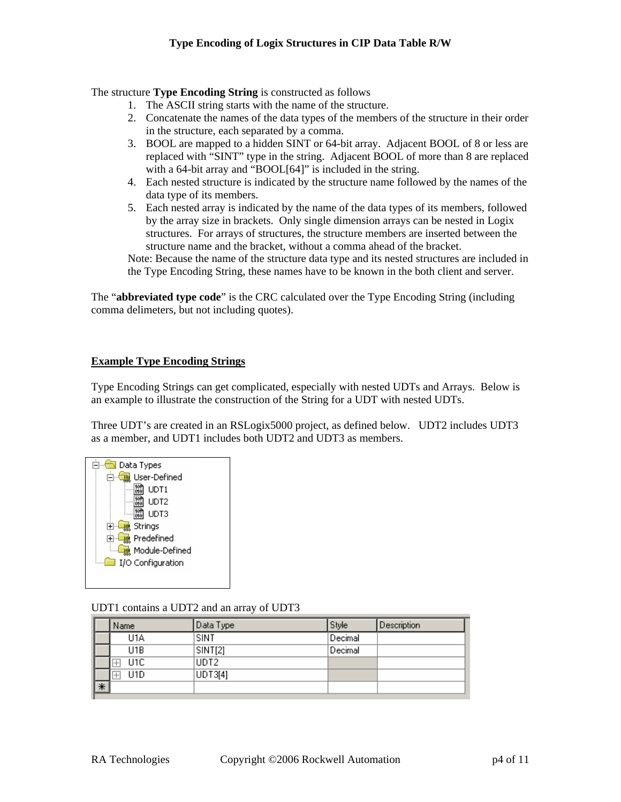The structure **Type Encoding String** is constructed as follows

- 1. The ASCII string starts with the name of the structure.
- 2. Concatenate the names of the data types of the members of the structure in their order in the structure, each separated by a comma.
- 3. BOOL are mapped to a hidden SINT or 64-bit array. Adjacent BOOL of 8 or less are replaced with "SINT" type in the string. Adjacent BOOL of more than 8 are replaced with a 64-bit array and "BOOL[64]" is included in the string.
- 4. Each nested structure is indicated by the structure name followed by the names of the data type of its members.
- 5. Each nested array is indicated by the name of the data types of its members, followed by the array size in brackets. Only single dimension arrays can be nested in Logix structures. For arrays of structures, the structure members are inserted between the structure name and the bracket, without a comma ahead of the bracket.

Note: Because the name of the structure data type and its nested structures are included in the Type Encoding String, these names have to be known in the both client and server.

The "**abbreviated type code**" is the CRC calculated over the Type Encoding String (including comma delimeters, but not including quotes).

## **Example Type Encoding Strings**

Type Encoding Strings can get complicated, especially with nested UDTs and Arrays. Below is an example to illustrate the construction of the String for a UDT with nested UDTs.

Three UDT's are created in an RSLogix5000 project, as defined below. UDT2 includes UDT3 as a member, and UDT1 includes both UDT2 and UDT3 as members.



#### UDT1 contains a UDT2 and an array of UDT3

|   | Name             | Data Type | Style   | <b>Description</b> |
|---|------------------|-----------|---------|--------------------|
|   | U1A              | SINT      | Decimal |                    |
|   | U1B              | SINT[2]   | Decimal |                    |
|   | U1C              | UDT2      |         |                    |
|   | U <sub>1</sub> D | UDT3[4]   |         |                    |
| * |                  |           |         |                    |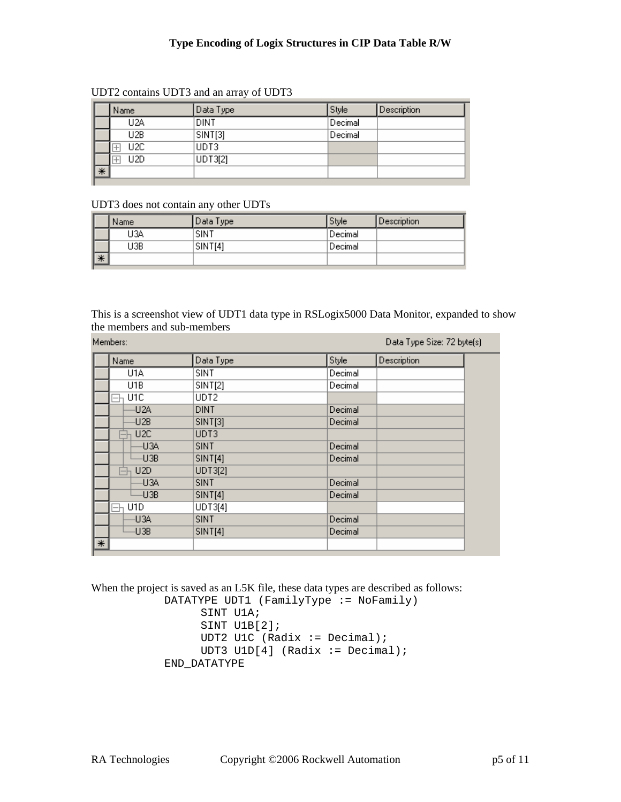|   | Name             | Data Type | Style   | Description |
|---|------------------|-----------|---------|-------------|
|   | U <sub>2</sub> A | DINT      | Decimal |             |
|   | U2B              | SINT[3]   | Decimal |             |
|   | U2C              | IUDT3.    |         |             |
|   | U2D              | UDT3[2]   |         |             |
| * |                  |           |         |             |

#### UDT2 contains UDT3 and an array of UDT3

#### UDT3 does not contain any other UDTs

|    | Name | Data Type | Style     | Description |
|----|------|-----------|-----------|-------------|
|    | J3A  | SINT      | 'Decimal' |             |
|    | J3B  | SINT[4]   | Decimal   |             |
| ∏* |      |           |           |             |

This is a screenshot view of UDT1 data type in RSLogix5000 Data Monitor, expanded to show the members and sub-members

|        | Members:         | Data Type Size: 72 byte(s) |         |             |  |
|--------|------------------|----------------------------|---------|-------------|--|
|        | Name             | Data Type                  | Style   | Description |  |
|        | U1A              | SINT                       | Decimal |             |  |
|        | U <sub>1</sub> B | SINT[2]                    | Decimal |             |  |
|        | U1C              | UDT2                       |         |             |  |
|        | -U2A             | <b>DINT</b>                | Decimal |             |  |
|        | -U2B             | SINT[3]                    | Decimal |             |  |
|        | U2C              | UDT3                       |         |             |  |
|        | -U3A             | <b>SINT</b>                | Decimal |             |  |
|        | -U3B             | SINT[4]                    | Decimal |             |  |
|        | U2D              | UDT3[2]                    |         |             |  |
|        | -U3A             | <b>SINT</b>                | Decimal |             |  |
|        | U3B              | <b>SINT[4]</b>             | Decimal |             |  |
|        | U <sub>1</sub> D | UDT3[4]                    |         |             |  |
|        | -U3A             | <b>SINT</b>                | Decimal |             |  |
|        | -U3B             | <b>SINT[4]</b>             | Decimal |             |  |
| $\ast$ |                  |                            |         |             |  |

When the project is saved as an L5K file, these data types are described as follows:

 DATATYPE UDT1 (FamilyType := NoFamily) SINT U1A; SINT U1B[2]; UDT2 U1C (Radix := Decimal); UDT3 U1D $[4]$  (Radix := Decimal); END\_DATATYPE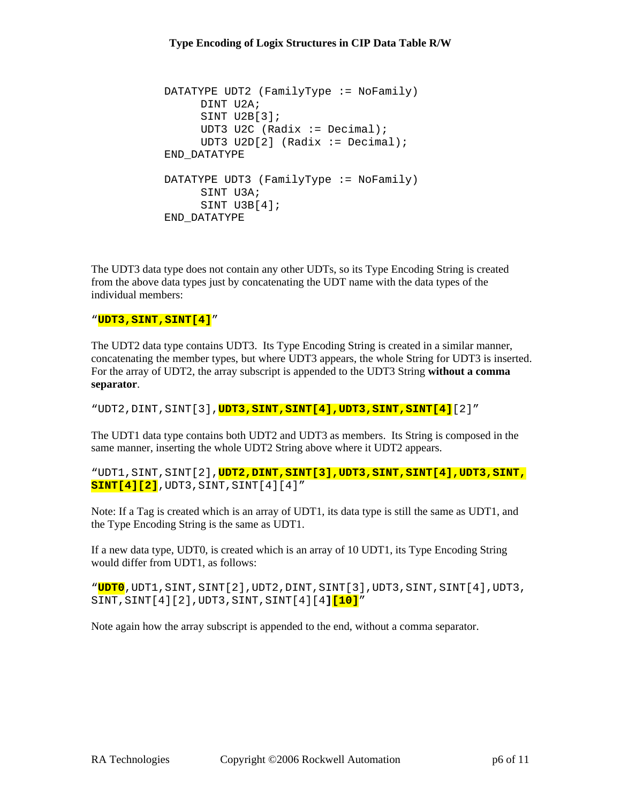```
 DATATYPE UDT2 (FamilyType := NoFamily) 
      DINT U2A; 
      SINT U2B[3]; 
     UDT3 U2C (Radix := Decimal);
     UDT3 U2D[2] (Radix := Decimal);
 END_DATATYPE 
DATATYPE UDT3 (FamilyType := NoFamily)
      SINT U3A; 
      SINT U3B[4]; 
 END_DATATYPE
```
The UDT3 data type does not contain any other UDTs, so its Type Encoding String is created from the above data types just by concatenating the UDT name with the data types of the individual members:

#### "**UDT3,SINT,SINT[4]**"

The UDT2 data type contains UDT3. Its Type Encoding String is created in a similar manner, concatenating the member types, but where UDT3 appears, the whole String for UDT3 is inserted. For the array of UDT2, the array subscript is appended to the UDT3 String **without a comma separator**.

"UDT2,DINT,SINT[3],**UDT3,SINT,SINT[4],UDT3,SINT,SINT[4]**[2]"

The UDT1 data type contains both UDT2 and UDT3 as members. Its String is composed in the same manner, inserting the whole UDT2 String above where it UDT2 appears.

"UDT1,SINT,SINT[2],**UDT2,DINT,SINT[3],UDT3,SINT,SINT[4],UDT3,SINT, SINT[4][2]**,UDT3,SINT,SINT[4][4]"

Note: If a Tag is created which is an array of UDT1, its data type is still the same as UDT1, and the Type Encoding String is the same as UDT1.

If a new data type, UDT0, is created which is an array of 10 UDT1, its Type Encoding String would differ from UDT1, as follows:

"**UDT0**,UDT1,SINT,SINT[2],UDT2,DINT,SINT[3],UDT3,SINT,SINT[4],UDT3, SINT,SINT[4][2],UDT3,SINT,SINT[4][4**][10]**"

Note again how the array subscript is appended to the end, without a comma separator.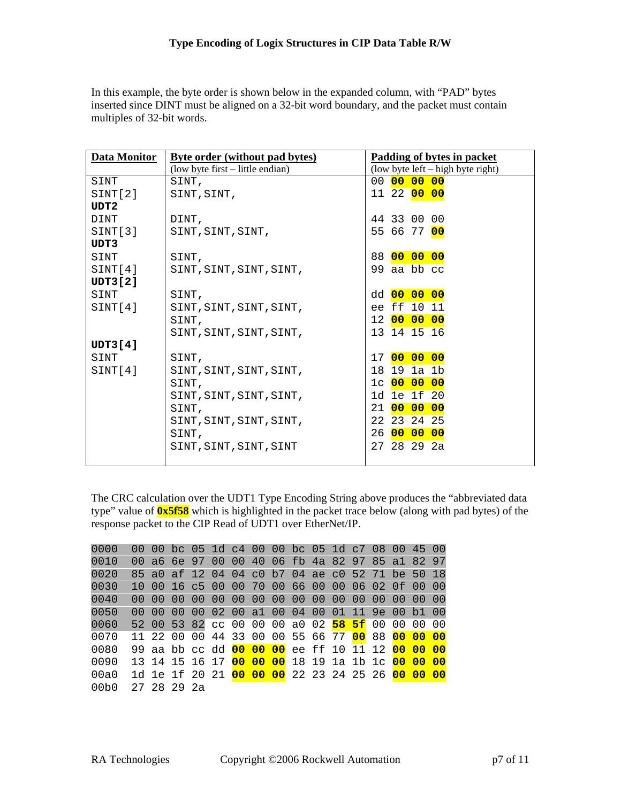In this example, the byte order is shown below in the expanded column, with "PAD" bytes inserted since DINT must be aligned on a 32-bit word boundary, and the packet must contain multiples of 32-bit words.

| <b>Data Monitor</b> | <b>Byte order (without pad bytes)</b> | Padding of bytes in packet          |
|---------------------|---------------------------------------|-------------------------------------|
|                     | (low byte first – little endian)      | $(low byte left - high byte right)$ |
| SINT                | SINT,                                 | 00 00 00 00                         |
| SINT[2]             | SINT, SINT,                           | 11 22 00 00                         |
| UDT <sub>2</sub>    |                                       |                                     |
| <b>DINT</b>         | DINT,                                 | 44 33 00 00                         |
| SINT[3]             | SINT, SINT, SINT,                     | 55 66 77 <mark>00</mark>            |
| UDT3                |                                       |                                     |
| SINT                | SINT,                                 | 88 00 00 00                         |
| SINT[4]             | SINT, SINT, SINT, SINT,               | 99 aa bb cc                         |
| UDT3[2]             |                                       |                                     |
| SINT                | SINT,                                 | dd 00 00 00                         |
| SINT[4]             | SINT, SINT, SINT, SINT,               | ee ff 10 11                         |
|                     | SINT,                                 | 12 00 00 00                         |
|                     | SINT, SINT, SINT, SINT,               | 13 14 15 16                         |
| <b>UDT3[4]</b>      |                                       |                                     |
| SINT                | SINT,                                 | 17 00 00 00                         |
| SINT[4]             | SINT, SINT, SINT, SINT,               | 18 19 1a 1b                         |
|                     | SINT,                                 | 1c 00 00 00                         |
|                     | SINT, SINT, SINT, SINT,               | 1d 1e 1f 20                         |
|                     | SINT,                                 | 21 00 00 00                         |
|                     | SINT, SINT, SINT, SINT,               | 22 23 24 25                         |
|                     | SINT,                                 | 26 00 00 00                         |
|                     | SINT, SINT, SINT, SINT                | 27 28 29 2a                         |
|                     |                                       |                                     |

The CRC calculation over the UDT1 Type Encoding String above produces the "abbreviated data type" value of **0x5f58** which is highlighted in the packet trace below (along with pad bytes) of the response packet to the CIP Read of UDT1 over EtherNet/IP.

| 0000             |              |             | 00 00 bc 05 1d c4 00 00 bc 05 1d c7 08 00 45 00                           |  |  |  |  |  |  |
|------------------|--------------|-------------|---------------------------------------------------------------------------|--|--|--|--|--|--|
| 0010             |              |             | 00 a6 6e 97 00 00 40 06 fb 4a 82 97 85 a1 82 97                           |  |  |  |  |  |  |
| 0020             |              |             | 85 a0 af 12 04 04 c0 b7 04 ae c0 52 71 be 50 18                           |  |  |  |  |  |  |
| 0030             |              |             | 10 00 16 c5 00 00 70 00 66 00 00 06 02 0f 00 00                           |  |  |  |  |  |  |
| 0040             | $00^{\circ}$ |             |                                                                           |  |  |  |  |  |  |
| 0050             |              |             | 00 00 00 00 02 00 a1 00 04 00 01 11 9e 00 b1 00                           |  |  |  |  |  |  |
| 0060             |              |             | 52 00 53 82 cc 00 00 00 a0 02 58 5f 00 00 00 00                           |  |  |  |  |  |  |
| 0070             |              |             | 11 22 00 00 44 33 00 00 55 66 77 00 88 00 00 00                           |  |  |  |  |  |  |
| 0080             |              |             | 99 aa bb cc dd 00 00 00 ee ff 10 11 12 00 00 00                           |  |  |  |  |  |  |
| 0090             |              |             | 13 14 15 16 17 00 00 00 18 19 1a 1b 1c <mark>00 00 00</mark>              |  |  |  |  |  |  |
| 00a0             |              |             | 1d 1e 1f 20 21 <mark>00 00 00</mark> 22 23 24 25 26 <mark>00 00 00</mark> |  |  |  |  |  |  |
| 00 <sub>b0</sub> |              | 27 28 29 2a |                                                                           |  |  |  |  |  |  |
|                  |              |             |                                                                           |  |  |  |  |  |  |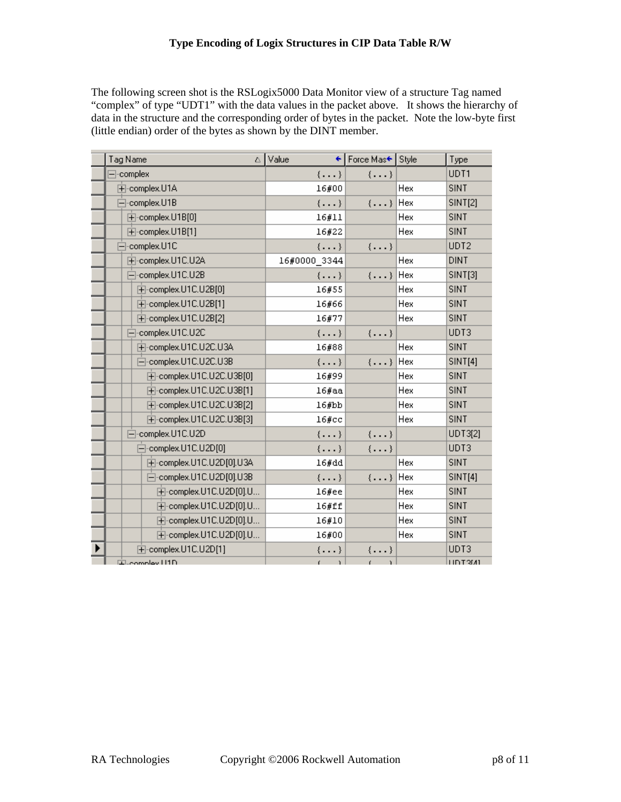The following screen shot is the RSLogix5000 Data Monitor view of a structure Tag named "complex" of type "UDT1" with the data values in the packet above. It shows the hierarchy of data in the structure and the corresponding order of bytes in the packet. Note the low-byte first (little endian) order of the bytes as shown by the DINT member.

| Tag Name                           | ∆ Value<br>÷۱ | Force Mas← Style |     | Type           |
|------------------------------------|---------------|------------------|-----|----------------|
| $\Box$ -complex                    | $\{\ldots\}$  | $\{\ldots\}$     |     | UDT1           |
| E-complex.U1A                      | 16#00         |                  | Hex | <b>SINT</b>    |
| ⊟-complex.U1B                      | $\{\ldots\}$  | $\{\ldots\}$     | Hex | <b>SINT[2]</b> |
| 主-complex.U1B[0]                   | 16#11         |                  | Hex | <b>SINT</b>    |
| E-complex.U1B[1]                   | 16#22         |                  | Hex | <b>SINT</b>    |
| ⊟-complex.U1C                      | $\{\ldots\}$  | $\{\ldots\}$     |     | UDT2           |
| 由-complex.U1C.U2A                  | 16#0000 3344  |                  | Hex | <b>DINT</b>    |
| 白-complex.U1C.U2B                  | $\{\ldots\}$  | $\{\ldots\}$ Hex |     | <b>SINT[3]</b> |
| 由-complex.U1C.U2B[0]               | 16#55         |                  | Hex | SINT           |
| 由-complex.U1C.U2B[1]               | 16#66         |                  | Hex | <b>SINT</b>    |
| 由-complex.U1C.U2B[2]               | 16#77         |                  | Hex | <b>SINT</b>    |
| 白-complex.U1C.U2C                  | $\{\ldots\}$  | $\{\ldots\}$     |     | UDT3           |
| 中-complex.U1C.U2C.U3A              | 16#88         |                  | Hex | <b>SINT</b>    |
| 白-complex.U1C.U2C.U3B              | $\{\ldots\}$  | $\{\ldots\}$ Hex |     | <b>SINT[4]</b> |
| 由-complex.U1C.U2C.U3B[0]           | 16#99         |                  | Hex | <b>SINT</b>    |
| 主-complex.U1C.U2C.U3B[1]           | 16#aa         |                  | Hex | <b>SINT</b>    |
| 主-complex.U1C.U2C.U3B[2]           | 16#bb         |                  | Hex | <b>SINT</b>    |
| 由-complex.U1C.U2C.U3B[3]           | $16\#cc$      |                  | Hex | <b>SINT</b>    |
| 白-complex.U1C.U2D                  | $\{\ldots\}$  | $\{\ldots\}$     |     | UDT3[2]        |
| 白-complex.U1C.U2D[0]               | $\{\ldots\}$  | $\{\ldots\}$     |     | UDT3           |
| 主-complex.U1C.U2D[0].U3A           | 16#dd         |                  | Hex | SINT           |
| 白-complex.U1C.U2D[0].U3B           | $\{\ldots\}$  | $\{\ldots\}$     | Hex | <b>SINT[4]</b> |
| 中-complex.U1C.U2D[0].U             | $16$ #ee      |                  | Hex | SINT           |
| 中-complex.U1C.U2D[0].U             | 16#ff         |                  | Hex | <b>SINT</b>    |
| <b>主</b> -complex.U1C.U2D[0].U     | 16#10         |                  | Hex | <b>SINT</b>    |
| <b>主-complex.U1C.U2D[0].U</b>      | 16#00         |                  | Hex | SINT           |
| $\overline{+}$ -complex.U1C.U2D[1] | $\{\ldots\}$  | $\{\ldots\}$     |     | UDT3           |
| ELcompley LI1D                     | ŕ.<br>r.      | f.<br>'n.        |     | <b>HDT3MI</b>  |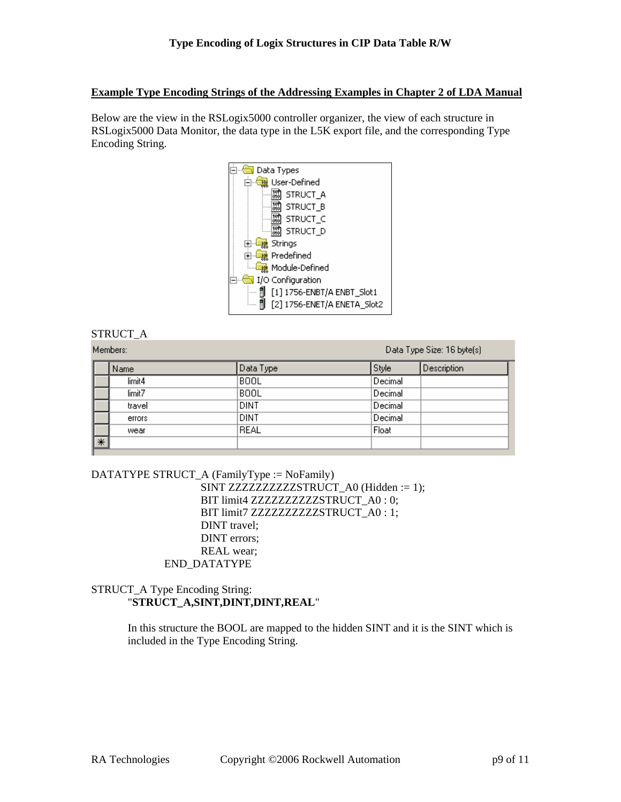### **Example Type Encoding Strings of the Addressing Examples in Chapter 2 of LDA Manual**

Below are the view in the RSLogix5000 controller organizer, the view of each structure in RSLogix5000 Data Monitor, the data type in the L5K export file, and the corresponding Type Encoding String.



## STRUCT\_A

|        | Members: |             | Data Type Size: 16 byte(s) |             |
|--------|----------|-------------|----------------------------|-------------|
|        | Name     | Data Type   | Style                      | Description |
|        | limit4   | <b>BOOL</b> | Decimal                    |             |
|        | limit7   | <b>BOOL</b> | Decimal                    |             |
|        | travel   | <b>DINT</b> | Decimal                    |             |
|        | errors   | <b>DINT</b> | Decimal                    |             |
|        | wear     | REAL        | Float                      |             |
| $\ast$ |          |             |                            |             |

```
DATATYPE STRUCT_A (FamilyType := NoFamily) 
                    SINT ZZZZZZZZZZZSTRUCT_A0 (Hidden := 1);
                    BIT limit4 ZZZZZZZZZZZSTRUCT_A0 : 0;
                    BIT limit7 ZZZZZZZZZZZSTRUCT_A0 : 1;
                     DINT travel; 
                     DINT errors; 
                     REAL wear; 
              END_DATATYPE
```
## STRUCT\_A Type Encoding String: "**STRUCT\_A,SINT,DINT,DINT,REAL**"

In this structure the BOOL are mapped to the hidden SINT and it is the SINT which is included in the Type Encoding String.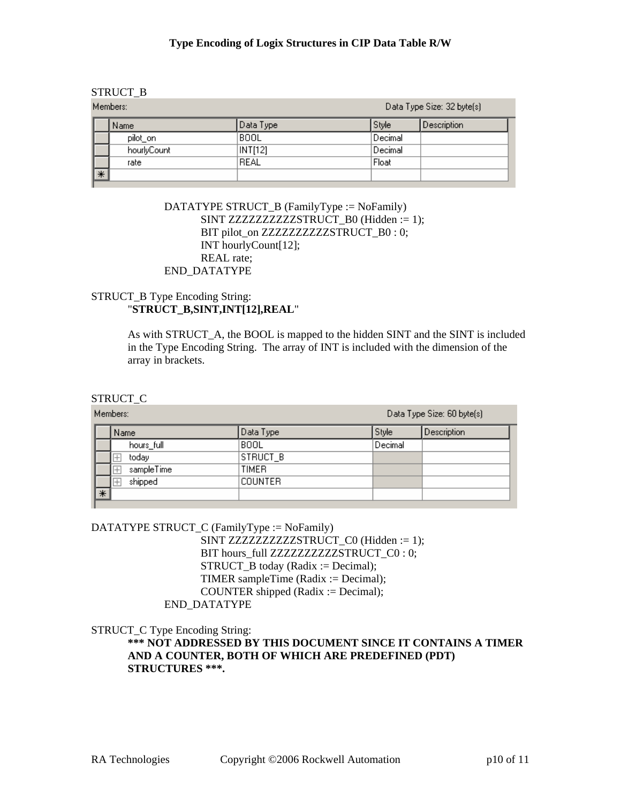#### STRUCT\_B

| Members: |                  |             |           |         | Data Type Size: 32 byte(s) |
|----------|------------------|-------------|-----------|---------|----------------------------|
|          |                  | Name        | Data Type | Style   | Description                |
|          |                  | pilot_on    | BOOL      | Decimal |                            |
|          |                  | hourlyCount | INT[12]   | Decimal |                            |
|          |                  | rate        | REAL      | Float   |                            |
|          | $\vert\ast\vert$ |             |           |         |                            |

 DATATYPE STRUCT\_B (FamilyType := NoFamily) SINT ZZZZZZZZZZZSTRUCT\_B0 (Hidden := 1); BIT pilot\_on ZZZZZZZZZZZSTRUCT\_B0 : 0; INT hourlyCount[12]; REAL rate; END\_DATATYPE

## STRUCT B Type Encoding String: "**STRUCT\_B,SINT,INT[12],REAL**"

As with STRUCT\_A, the BOOL is mapped to the hidden SINT and the SINT is included in the Type Encoding String. The array of INT is included with the dimension of the array in brackets.

#### STRUCT\_C

Members:

Data Type Size: 60 byte(s)

|    | Name       | Data Type      | Style   | Description |
|----|------------|----------------|---------|-------------|
|    | hours_full | <b>BOOL</b>    | Decimal |             |
|    | ⋤<br>today | STRUCT_B       |         |             |
|    | sampleTime | <b>TIMER</b>   |         |             |
|    | shipped    | <b>COUNTER</b> |         |             |
| ∣∗ |            |                |         |             |
|    |            |                |         |             |

#### DATATYPE STRUCT\_C (FamilyType := NoFamily)

SINT ZZZZZZZZZZZSTRUCT\_C0 (Hidden := 1); BIT hours\_full ZZZZZZZZZZZSTRUCT\_C0 : 0; STRUCT  $\overline{B}$  today (Radix := Decimal); TIMER sampleTime (Radix := Decimal); COUNTER shipped (Radix := Decimal); END\_DATATYPE

STRUCT\_C Type Encoding String:

**\*\*\* NOT ADDRESSED BY THIS DOCUMENT SINCE IT CONTAINS A TIMER AND A COUNTER, BOTH OF WHICH ARE PREDEFINED (PDT) STRUCTURES \*\*\*.**